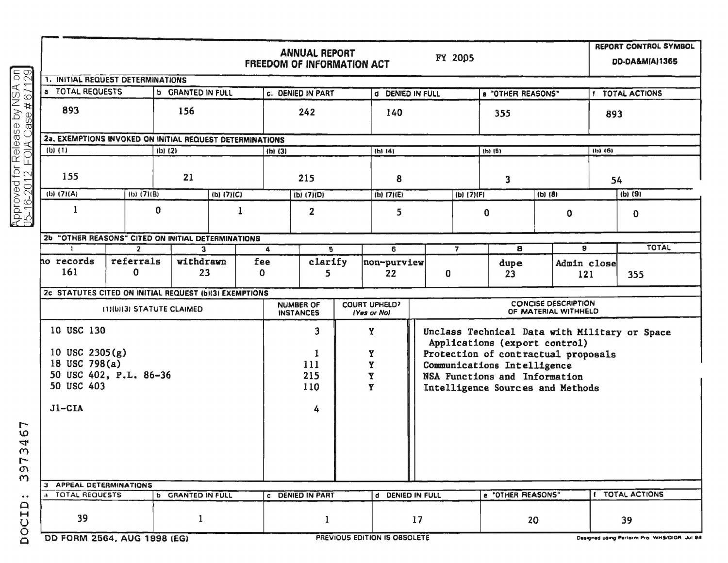|                                                                    |                                                          | <b>ANNUAL REPORT</b><br>FY 2005<br><b>FREEDOM OF INFORMATION ACT</b> |                                      |                          |              |                                                                   |                                                                                                                       |                   |                   |                                                    |                        |                    |                      |         |   |  |
|--------------------------------------------------------------------|----------------------------------------------------------|----------------------------------------------------------------------|--------------------------------------|--------------------------|--------------|-------------------------------------------------------------------|-----------------------------------------------------------------------------------------------------------------------|-------------------|-------------------|----------------------------------------------------|------------------------|--------------------|----------------------|---------|---|--|
| ခြွစ္လ                                                             | <b>1. INITIAL REQUEST DETERMINATIONS</b>                 |                                                                      |                                      |                          |              |                                                                   |                                                                                                                       |                   |                   |                                                    |                        |                    |                      |         |   |  |
|                                                                    | a TOTAL REQUESTS<br><b>b</b> GRANTED IN FULL             |                                                                      |                                      | <b>c. DENIED IN PART</b> |              |                                                                   |                                                                                                                       | d DENIED IN FULL  |                   |                                                    | e "OTHER REASONS"      |                    | <b>TOTAL ACTIONS</b> |         |   |  |
| Approved for Release by NSA<br>05-16-2012, FOIA Case # 671         | 893                                                      | 156                                                                  |                                      |                          | 242          |                                                                   |                                                                                                                       | 140               |                   |                                                    |                        | 893                |                      |         |   |  |
|                                                                    | 2a. EXEMPTIONS INVOKED ON INITIAL REQUEST DETERMINATIONS |                                                                      |                                      |                          |              |                                                                   |                                                                                                                       |                   |                   |                                                    |                        |                    |                      |         |   |  |
|                                                                    | $(b)$ $(1)$                                              |                                                                      | $(b)$ $(2)$                          | $(h)$ (3)                |              |                                                                   | (h1(4)                                                                                                                |                   |                   |                                                    |                        | $(b)$ (6)          |                      |         |   |  |
|                                                                    | 155                                                      |                                                                      | 21                                   |                          | 215          |                                                                   |                                                                                                                       | 8                 |                   |                                                    | 3                      |                    | 54                   |         |   |  |
|                                                                    | (b) (7)(A)<br>$(b)$ (7)(B)                               |                                                                      | (b) (7)(C)                           |                          | (b) $(7)(D)$ |                                                                   |                                                                                                                       | $(h)$ (7)(E)      |                   | (b) (7)(F)                                         |                        | $(b)$ (8)          |                      | (b) (9) |   |  |
|                                                                    | 1                                                        | 0<br>1                                                               |                                      | $\overline{\mathbf{2}}$  |              |                                                                   | 5                                                                                                                     |                   | 0                 |                                                    | $\mathbf 0$            |                    | 0                    |         |   |  |
|                                                                    | "OTHER REASONS" CITED ON INITIAL DETERMINATIONS<br>2ь    |                                                                      |                                      |                          |              |                                                                   |                                                                                                                       |                   |                   |                                                    |                        |                    |                      |         |   |  |
|                                                                    | $\overline{2}$<br>$\mathbf{1}$                           |                                                                      | 3                                    |                          | 4            |                                                                   | 5                                                                                                                     | 6                 |                   | $\overline{7}$                                     | 8                      | 9                  |                      | TOTAL   |   |  |
|                                                                    | ho records<br>161                                        | referrals<br>0                                                       | 23                                   | withdrawn<br>fee<br>0    |              | clarify<br>5                                                      |                                                                                                                       | non-purview<br>22 |                   | 0                                                  | dupe<br>23             | Admin close<br>121 |                      | 355     |   |  |
|                                                                    | 2c STATUTES CITED ON INITIAL REQUEST (b)(3) EXEMPTIONS   |                                                                      |                                      |                          |              |                                                                   |                                                                                                                       |                   |                   |                                                    |                        |                    |                      |         |   |  |
|                                                                    | (1)(b)(3) STATUTE CLAIMED                                |                                                                      | <b>NUMBER OF</b><br><b>INSTANCES</b> |                          |              | <b>COURT UPHELD?</b><br><b>IYes or Nol</b>                        |                                                                                                                       |                   |                   | <b>CONCISE DESCRIPTION</b><br>OF MATERIAL WITHHELD |                        |                    |                      |         |   |  |
|                                                                    | 10 USC 130<br>10 USC $2305(g)$                           |                                                                      | 3<br>1                               |                          | Y<br>Y       |                                                                   | Unclass Technical Data with Military or Space<br>Applications (export control)<br>Protection of contractual proposals |                   |                   |                                                    |                        |                    |                      |         |   |  |
|                                                                    | 18 USC 798(a)                                            |                                                                      | 111                                  | Y<br>Y                   |              | Communications Intelligence                                       |                                                                                                                       |                   |                   |                                                    |                        |                    |                      |         |   |  |
|                                                                    | 50 USC 402, P.L. 86-36<br>50 USC 403                     |                                                                      | 215                                  |                          |              | NSA Functions and Information<br>Intelligence Sources and Methods |                                                                                                                       |                   |                   |                                                    |                        |                    |                      |         |   |  |
|                                                                    |                                                          |                                                                      |                                      |                          |              |                                                                   |                                                                                                                       |                   |                   |                                                    |                        |                    | 110                  |         | Y |  |
|                                                                    | $J1-CIA$                                                 |                                                                      |                                      |                          |              | 4                                                                 |                                                                                                                       |                   |                   |                                                    |                        |                    |                      |         |   |  |
| L<br>Ю<br>4<br>C<br>$\overline{ }$<br><b>O</b><br>$\omega$         |                                                          |                                                                      |                                      |                          |              |                                                                   |                                                                                                                       |                   |                   |                                                    |                        |                    |                      |         |   |  |
|                                                                    | 3 APPEAL DETERMINATIONS<br><b>A TOTAL REQUESTS</b>       |                                                                      | <b>C DENIED IN PART</b>              |                          |              | d DENIED IN FULL                                                  |                                                                                                                       |                   | e 'OTHER REASONS" |                                                    | <b>I TOTAL ACTIONS</b> |                    |                      |         |   |  |
| $\bullet$ $\bullet$<br>$\mathbf{a}$<br>$\mathbf H$<br>O<br>$\circ$ | 39                                                       |                                                                      | <b>b</b> GRANTED IN FULL<br>1        |                          |              | ODELIUSUE EBITIALI IP ARPALET                                     |                                                                                                                       |                   | 17                |                                                    |                        | 20                 |                      | 39      |   |  |